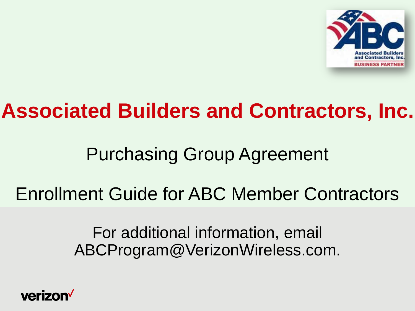

# **Associated Builders and Contractors, Inc.**

# Purchasing Group Agreement

## Enrollment Guide for ABC Member Contractors

For additional information, email ABCProgram@VerizonWireless.com.

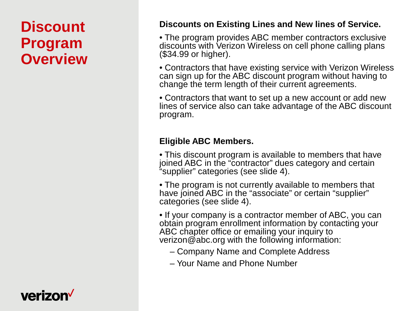### **Discount Program Overview**

#### **Discounts on Existing Lines and New lines of Service.**

• The program provides ABC member contractors exclusive discounts with Verizon Wireless on cell phone calling plans (\$34.99 or higher).

• Contractors that have existing service with Verizon Wireless can sign up for the ABC discount program without having to change the term length of their current agreements.

• Contractors that want to set up a new account or add new lines of service also can take advantage of the ABC discount program.

#### **Eligible ABC Members.**

• This discount program is available to members that have joined ABC in the "contractor" dues category and certain "supplier" categories (see slide 4).

• The program is not currently available to members that have joined ABC in the "associate" or certain "supplier" categories (see slide 4).

• If your company is a contractor member of ABC, you can obtain program enrollment information by contacting your ABC chapter office or emailing your inquiry to verizon@abc.org with the following information:

- Company Name and Complete Address
- Your Name and Phone Number

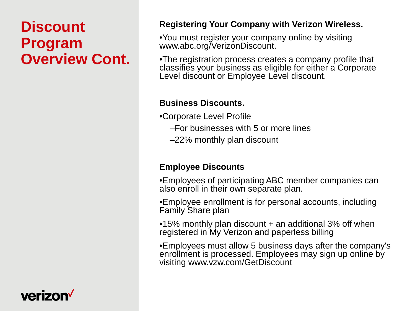### **Discount Program Overview Cont.**

#### **Registering Your Company with Verizon Wireless.**

•You must register your company online by visiting www.abc.org/VerizonDiscount.

•The registration process creates a company profile that classifies your business as eligible for either a Corporate Level discount or Employee Level discount.

#### **Business Discounts.**

•Corporate Level Profile

- –For businesses with 5 or more lines
- –22% monthly plan discount

#### **Employee Discounts**

•Employees of participating ABC member companies can also enroll in their own separate plan.

•Employee enrollment is for personal accounts, including Family Share plan

•15% monthly plan discount + an additional 3% off when registered in My Verizon and paperless billing

•Employees must allow 5 business days after the company's enrollment is processed. Employees may sign up online by visiting www.vzw.com/GetDiscount

### **verizon**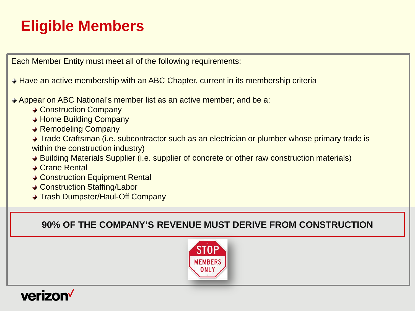### **Eligible Members**

Each Member Entity must meet all of the following requirements:

**→ Have an active membership with an ABC Chapter, current in its membership criteria** 

**→ Appear on ABC National's member list as an active member; and be a:** 

- **← Construction Company**
- ◆ Home Building Company
- **◆ Remodeling Company**

◆ Trade Craftsman (i.e. subcontractor such as an electrician or plumber whose primary trade is within the construction industry)

- ♦ Building Materials Supplier (i.e. supplier of concrete or other raw construction materials)
- **→ Crane Rental**
- **← Construction Equipment Rental**
- **↓ Construction Staffing/Labor**
- **→ Trash Dumpster/Haul-Off Company**

**90% OF THE COMPANY'S REVENUE MUST DERIVE FROM CONSTRUCTION**



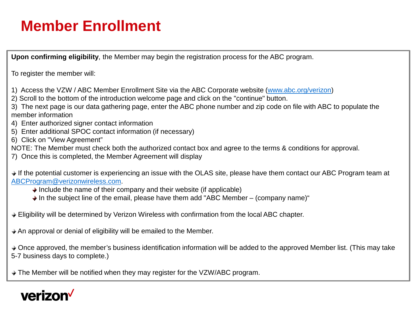### **Member Enrollment**

**Upon confirming eligibility**, the Member may begin the registration process for the ABC program.

To register the member will:

- 1) Access the VZW / ABC Member Enrollment Site via the ABC Corporate website [\(www.abc.org/verizon\)](http://www.abc.org/verizon)
- 2) Scroll to the bottom of the introduction welcome page and click on the "continue" button.
- 3) The next page is our data gathering page, enter the ABC phone number and zip code on file with ABC to populate the member information
- 4) Enter authorized signer contact information
- 5) Enter additional SPOC contact information (if necessary)
- 6) Click on "View Agreement"
- NOTE: The Member must check both the authorized contact box and agree to the terms & conditions for approval.
- 7) Once this is completed, the Member Agreement will display

♦ If the potential customer is experiencing an issue with the OLAS site, please have them contact our ABC Program team at [ABCProgram@verizonwireless.com](mailto:ABCProgram@verizonwireless.com).

- $\rightarrow$  Include the name of their company and their website (if applicable)
- $\rightarrow$  In the subject line of the email, please have them add "ABC Member (company name)"
- Eligibility will be determined by Verizon Wireless with confirmation from the local ABC chapter.
- An approval or denial of eligibility will be emailed to the Member.
- $\rightarrow$  Once approved, the member's business identification information will be added to the approved Member list. (This may take 5-7 business days to complete.)
- ♦ The Member will be notified when they may register for the VZW/ABC program.

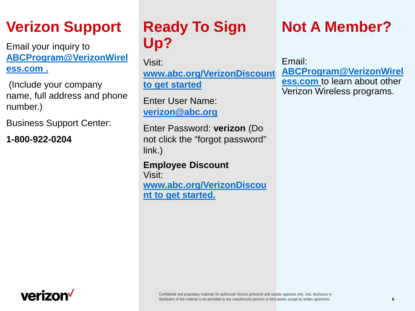### **Verizon Support**

Email your inquiry to **[ABCProgram@VerizonWirel](mailto:ABCProgram@VerizonWireless.com) [ess.com .](mailto:ABCProgram@VerizonWireless.com)**

(Include your company name, full address and phone number.)

Business Support Center:

**1-800-922-0204**

### **Ready To Sign Up?**

Visit: **[www.abc.org/VerizonDiscount](http://www.abc.org/VerizonDiscount)  [to get started](http://www.abc.org/VerizonDiscount)**

Enter User Name: **[verizon@abc.org](mailto:verizon@abc.org)**

Enter Password: **verizon** (Do not click the "forgot password" link.)

**Employee Discount** Visit: **[www.abc.org/VerizonDiscou](http://www.abc.org/VerizonDiscount) [nt to get started.](http://www.abc.org/VerizonDiscount)**

### **Not A Member?**

Email: **[ABCProgram@VerizonWirel](mailto:ABCProgram@VerizonWireless.com) [ess.com](mailto:ABCProgram@VerizonWireless.com)** to learn about other Verizon Wireless programs[.](mailto:ABCProgram@VerizonWireless.com)

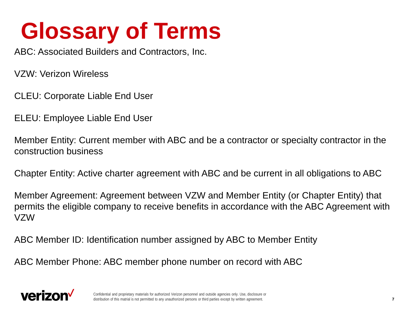# **Glossary of Terms**

ABC: Associated Builders and Contractors, Inc.

VZW: Verizon Wireless

CLEU: Corporate Liable End User

ELEU: Employee Liable End User

Member Entity: Current member with ABC and be a contractor or specialty contractor in the construction business

Chapter Entity: Active charter agreement with ABC and be current in all obligations to ABC

Member Agreement: Agreement between VZW and Member Entity (or Chapter Entity) that permits the eligible company to receive benefits in accordance with the ABC Agreement with VZW

ABC Member ID: Identification number assigned by ABC to Member Entity

ABC Member Phone: ABC member phone number on record with ABC